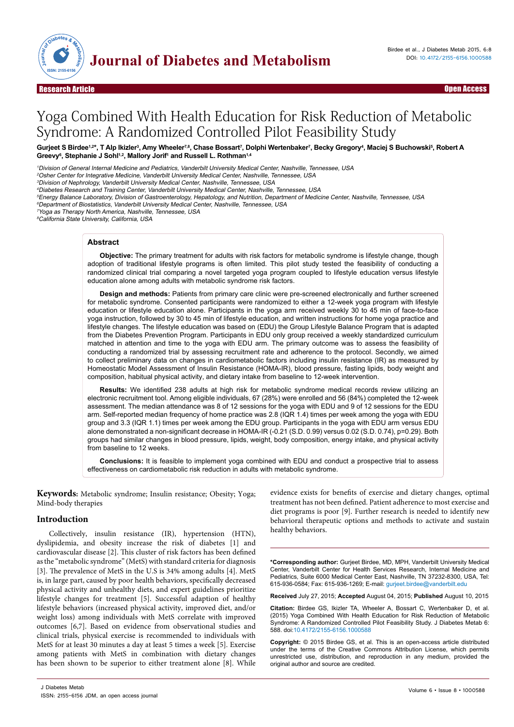

# Yoga Combined With Health Education for Risk Reduction of Metabolic Syndrome: A Randomized Controlled Pilot Feasibility Study

### Gurjeet S Birdee<sup>1,2\*</sup>, T Alp Ikizler<sup>3</sup>, Amy Wheeler<sup>7,8</sup>, Chase Bossart<sup>7</sup>, Dolphi Wertenbaker<sup>7</sup>, Becky Gregory<sup>4</sup>, Maciej S Buchowski<sup>5</sup>, Robert A **Greevy6 , Stephanie J Sohl1,2, Mallory Jorif1 and Russell L. Rothman1,4**

<sup>1</sup>Division of General Internal Medicine and Pediatrics, Vanderbilt University Medical Center, Nashville, Tennessee, USA

<sup>2</sup>Osher Center for Integrative Medicine, Vanderbilt University Medical Center, Nashville, Tennessee, USA

<sup>3</sup>Division of Nephrology, Vanderbilt University Medical Center, Nashville, Tennessee, USA

<sup>4</sup>Diabetes Research and Training Center, Vanderbilt University Medical Center, Nashville, Tennessee, USA

<sup>5</sup>Energy Balance Laboratory, Division of Gastroenterology, Hepatology, and Nutrition, Department of Medicine Center, Nashville, Tennessee, USA

<sup>6</sup>Department of Biostatistics, Vanderbilt University Medical Center, Nashville, Tennessee, USA

<sup>7</sup>Yoga as Therapy North America, Nashville, Tennessee, USA <sup>8</sup>California State University, California, USA

## **Abstract**

**Objective:** The primary treatment for adults with risk factors for metabolic syndrome is lifestyle change, though adoption of traditional lifestyle programs is often limited. This pilot study tested the feasibility of conducting a randomized clinical trial comparing a novel targeted yoga program coupled to lifestyle education versus lifestyle education alone among adults with metabolic syndrome risk factors.

**Design and methods:** Patients from primary care clinic were pre-screened electronically and further screened for metabolic syndrome. Consented participants were randomized to either a 12-week yoga program with lifestyle education or lifestyle education alone. Participants in the yoga arm received weekly 30 to 45 min of face-to-face yoga instruction, followed by 30 to 45 min of lifestyle education, and written instructions for home yoga practice and lifestyle changes. The lifestyle education was based on (EDU) the Group Lifestyle Balance Program that is adapted from the Diabetes Prevention Program. Participants in EDU only group received a weekly standardized curriculum matched in attention and time to the yoga with EDU arm. The primary outcome was to assess the feasibility of conducting a randomized trial by assessing recruitment rate and adherence to the protocol. Secondly, we aimed to collect preliminary data on changes in cardiometabolic factors including insulin resistance (IR) as measured by Homeostatic Model Assessment of Insulin Resistance (HOMA-IR), blood pressure, fasting lipids, body weight and composition, habitual physical activity, and dietary intake from baseline to 12-week intervention.

**Results:** We identified 238 adults at high risk for metabolic syndrome medical records review utilizing an electronic recruitment tool. Among eligible individuals, 67 (28%) were enrolled and 56 (84%) completed the 12-week assessment. The median attendance was 8 of 12 sessions for the yoga with EDU and 9 of 12 sessions for the EDU arm. Self-reported median frequency of home practice was 2.8 (IQR 1.4) times per week among the yoga with EDU group and 3.3 (IQR 1.1) times per week among the EDU group. Participants in the yoga with EDU arm versus EDU alone demonstrated a non-significant decrease in HOMA-IR (-0.21 (S.D. 0.99) versus 0.02 (S.D. 0.74), p=0.29). Both groups had similar changes in blood pressure, lipids, weight, body composition, energy intake, and physical activity from baseline to 12 weeks.

**Conclusions:** It is feasible to implement yoga combined with EDU and conduct a prospective trial to assess effectiveness on cardiometabolic risk reduction in adults with metabolic syndrome.

**Keywords:** Metabolic syndrome; Insulin resistance; Obesity; Yoga; Mind-body therapies

## **Introduction**

Collectively, insulin resistance (IR), hypertension (HTN), dyslipidemia, and obesity increase the risk of diabetes [1] and cardiovascular disease [2]. This cluster of risk factors has been defined as the "metabolic syndrome" (MetS) with standard criteria for diagnosis [3]. The prevalence of MetS in the U.S is 34% among adults [4]. MetS is, in large part, caused by poor health behaviors, specifically decreased physical activity and unhealthy diets, and expert guidelines prioritize lifestyle changes for treatment [5]. Successful adaption of healthy lifestyle behaviors (increased physical activity, improved diet, and/or weight loss) among individuals with MetS correlate with improved outcomes [6,7]. Based on evidence from observational studies and clinical trials, physical exercise is recommended to individuals with MetS for at least 30 minutes a day at least 5 times a week [5]. Exercise among patients with MetS in combination with dietary changes has been shown to be superior to either treatment alone [8]. While evidence exists for benefits of exercise and dietary changes, optimal treatment has not been defined. Patient adherence to most exercise and diet programs is poor [9]. Further research is needed to identify new behavioral therapeutic options and methods to activate and sustain healthy behaviors.

**\*Corresponding author:** Gurjeet Birdee, MD, MPH, Vanderbilt University Medical Center, Vanderbilt Center for Health Services Research, Internal Medicine and Pediatrics, Suite 6000 Medical Center East, Nashville, TN 37232-8300, USA, Tel: 615-936-0584; Fax: 615-936-1269; E-mail: gurjeet.birdee@vanderbilt.edu

**Received** July 27, 2015; **Accepted** August 04, 2015; **Published** August 10, 2015

**Citation:** Birdee GS, Ikizler TA, Wheeler A, Bossart C, Wertenbaker D, et al. (2015) Yoga Combined With Health Education for Risk Reduction of Metabolic Syndrome: A Randomized Controlled Pilot Feasibility Study. J Diabetes Metab 6: 588. doi:10.4172/2155-6156.1000588

**Copyright:** © 2015 Birdee GS, et al. This is an open-access article distributed under the terms of the Creative Commons Attribution License, which permits unrestricted use, distribution, and reproduction in any medium, provided the original author and source are credited.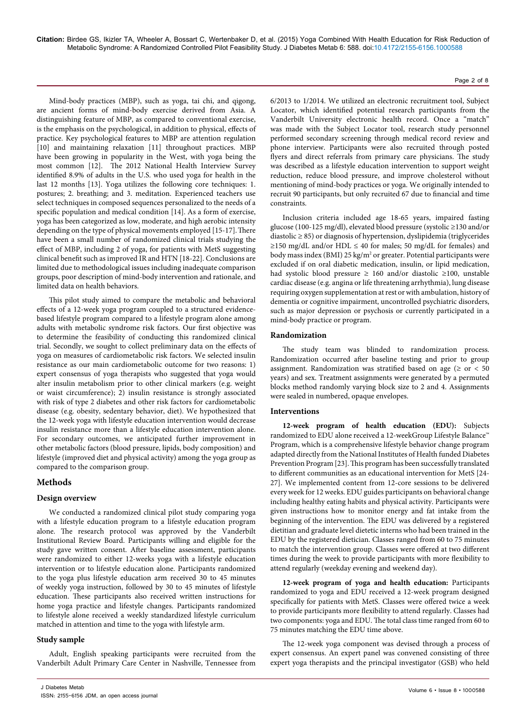Mind-body practices (MBP), such as yoga, tai chi, and qigong, are ancient forms of mind-body exercise derived from Asia. A distinguishing feature of MBP, as compared to conventional exercise, is the emphasis on the psychological, in addition to physical, effects of practice. Key psychological features to MBP are attention regulation [10] and maintaining relaxation [11] throughout practices. MBP have been growing in popularity in the West, with yoga being the most common [12]. The 2012 National Health Interview Survey identified 8.9% of adults in the U.S. who used yoga for health in the last 12 months [13]. Yoga utilizes the following core techniques: 1. postures; 2. breathing; and 3. meditation. Experienced teachers use select techniques in composed sequences personalized to the needs of a specific population and medical condition [14]. As a form of exercise, yoga has been categorized as low, moderate, and high aerobic intensity depending on the type of physical movements employed [15-17].There have been a small number of randomized clinical trials studying the effect of MBP, including 2 of yoga, for patients with MetS suggesting clinical benefit such as improved IR and HTN [18-22]. Conclusions are limited due to methodological issues including inadequate comparison groups, poor description of mind-body intervention and rationale, and limited data on health behaviors.

This pilot study aimed to compare the metabolic and behavioral effects of a 12-week yoga program coupled to a structured evidencebased lifestyle program compared to a lifestyle program alone among adults with metabolic syndrome risk factors. Our first objective was to determine the feasibility of conducting this randomized clinical trial. Secondly, we sought to collect preliminary data on the effects of yoga on measures of cardiometabolic risk factors. We selected insulin resistance as our main cardiometabolic outcome for two reasons: 1) expert consensus of yoga therapists who suggested that yoga would alter insulin metabolism prior to other clinical markers (e.g. weight or waist circumference); 2) insulin resistance is strongly associated with risk of type 2 diabetes and other risk factors for cardiometabolic disease (e.g. obesity, sedentary behavior, diet). We hypothesized that the 12-week yoga with lifestyle education intervention would decrease insulin resistance more than a lifestyle education intervention alone. For secondary outcomes, we anticipated further improvement in other metabolic factors (blood pressure, lipids, body composition) and lifestyle (improved diet and physical activity) among the yoga group as compared to the comparison group.

# **Methods**

# **Design overview**

We conducted a randomized clinical pilot study comparing yoga with a lifestyle education program to a lifestyle education program alone. The research protocol was approved by the Vanderbilt Institutional Review Board. Participants willing and eligible for the study gave written consent. After baseline assessment, participants were randomized to either 12-weeks yoga with a lifestyle education intervention or to lifestyle education alone. Participants randomized to the yoga plus lifestyle education arm received 30 to 45 minutes of weekly yoga instruction, followed by 30 to 45 minutes of lifestyle education. These participants also received written instructions for home yoga practice and lifestyle changes. Participants randomized to lifestyle alone received a weekly standardized lifestyle curriculum matched in attention and time to the yoga with lifestyle arm.

# **Study sample**

Adult, English speaking participants were recruited from the Vanderbilt Adult Primary Care Center in Nashville, Tennessee from

6/2013 to 1/2014. We utilized an electronic recruitment tool, Subject Locator, which identified potential research participants from the Vanderbilt University electronic health record. Once a "match" was made with the Subject Locator tool, research study personnel performed secondary screening through medical record review and phone interview. Participants were also recruited through posted flyers and direct referrals from primary care physicians. The study was described as a lifestyle education intervention to support weight reduction, reduce blood pressure, and improve cholesterol without mentioning of mind-body practices or yoga. We originally intended to recruit 90 participants, but only recruited 67 due to financial and time constraints.

Inclusion criteria included age 18-65 years, impaired fasting glucose (100-125 mg/dl), elevated blood pressure (systolic ≥130 and/or diastolic ≥ 85) or diagnosis of hypertension, dyslipidemia (triglycerides ≥150 mg/dL and/or HDL ≤ 40 for males; 50 mg/dL for females) and body mass index (BMI) 25 kg/m<sup>2</sup> or greater. Potential participants were excluded if on oral diabetic medication, insulin, or lipid medication, had systolic blood pressure ≥ 160 and/or diastolic ≥100, unstable cardiac disease (e.g. angina or life threatening arrhythmia), lung disease requiring oxygen supplementation at rest or with ambulation, history of dementia or cognitive impairment, uncontrolled psychiatric disorders, such as major depression or psychosis or currently participated in a mind-body practice or program.

## **Randomization**

The study team was blinded to randomization process. Randomization occurred after baseline testing and prior to group assignment. Randomization was stratified based on age ( $\geq$  or < 50 years) and sex. Treatment assignments were generated by a permuted blocks method randomly varying block size to 2 and 4. Assignments were sealed in numbered, opaque envelopes.

## **Interventions**

**12-week program of health education (EDU):** Subjects randomized to EDU alone received a 12-weekGroup Lifestyle Balance™ Program, which is a comprehensive lifestyle behavior change program adapted directly from the National Institutes of Health funded Diabetes Prevention Program [23]. This program has been successfully translated to different communities as an educational intervention for MetS [24- 27]. We implemented content from 12-core sessions to be delivered every week for 12 weeks. EDU guides participants on behavioral change including healthy eating habits and physical activity. Participants were given instructions how to monitor energy and fat intake from the beginning of the intervention. The EDU was delivered by a registered dietitian and graduate level dietetic interns who had been trained in the EDU by the registered dietician. Classes ranged from 60 to 75 minutes to match the intervention group. Classes were offered at two different times during the week to provide participants with more flexibility to attend regularly (weekday evening and weekend day).

**12-week program of yoga and health education:** Participants randomized to yoga and EDU received a 12-week program designed specifically for patients with MetS. Classes were offered twice a week to provide participants more flexibility to attend regularly. Classes had two components: yoga and EDU. The total class time ranged from 60 to 75 minutes matching the EDU time above.

The 12-week yoga component was devised through a process of expert consensus. An expert panel was convened consisting of three expert yoga therapists and the principal investigator (GSB) who held

#### Page 2 of 8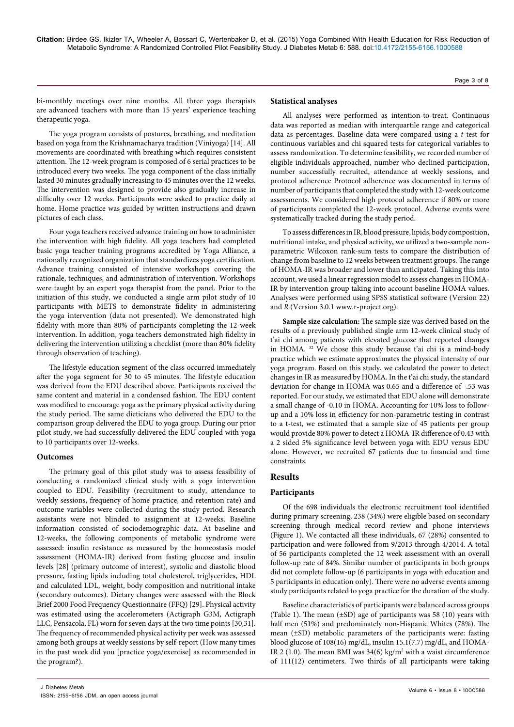Page 3 of 8

bi-monthly meetings over nine months. All three yoga therapists are advanced teachers with more than 15 years' experience teaching therapeutic yoga.

The yoga program consists of postures, breathing, and meditation based on yoga from the Krishnamacharya tradition (Viniyoga) [14]. All movements are coordinated with breathing which requires consistent attention. The 12-week program is composed of 6 serial practices to be introduced every two weeks. The yoga component of the class initially lasted 30 minutes gradually increasing to 45 minutes over the 12 weeks. The intervention was designed to provide also gradually increase in difficulty over 12 weeks. Participants were asked to practice daily at home. Home practice was guided by written instructions and drawn pictures of each class.

Four yoga teachers received advance training on how to administer the intervention with high fidelity. All yoga teachers had completed basic yoga teacher training programs accredited by Yoga Alliance, a nationally recognized organization that standardizes yoga certification. Advance training consisted of intensive workshops covering the rationale, techniques, and administration of intervention. Workshops were taught by an expert yoga therapist from the panel. Prior to the initiation of this study, we conducted a single arm pilot study of 10 participants with METS to demonstrate fidelity in administering the yoga intervention (data not presented). We demonstrated high fidelity with more than 80% of participants completing the 12-week intervention. In addition, yoga teachers demonstrated high fidelity in delivering the intervention utilizing a checklist (more than 80% fidelity through observation of teaching).

The lifestyle education segment of the class occurred immediately after the yoga segment for 30 to 45 minutes. The lifestyle education was derived from the EDU described above. Participants received the same content and material in a condensed fashion. The EDU content was modified to encourage yoga as the primary physical activity during the study period. The same dieticians who delivered the EDU to the comparison group delivered the EDU to yoga group. During our prior pilot study, we had successfully delivered the EDU coupled with yoga to 10 participants over 12-weeks.

## **Outcomes**

The primary goal of this pilot study was to assess feasibility of conducting a randomized clinical study with a yoga intervention coupled to EDU. Feasibility (recruitment to study, attendance to weekly sessions, frequency of home practice, and retention rate) and outcome variables were collected during the study period. Research assistants were not blinded to assignment at 12-weeks. Baseline information consisted of sociodemographic data. At baseline and 12-weeks, the following components of metabolic syndrome were assessed: insulin resistance as measured by the homeostasis model assessment (HOMA-IR) derived from fasting glucose and insulin levels [28] (primary outcome of interest), systolic and diastolic blood pressure, fasting lipids including total cholesterol, triglycerides, HDL and calculated LDL, weight, body composition and nutritional intake (secondary outcomes). Dietary changes were assessed with the Block Brief 2000 Food Frequency Questionnaire (FFQ) [29]. Physical activity was estimated using the accelerometers (Actigraph G3M, Actigraph LLC, Pensacola, FL) worn for seven days at the two time points [30,31]. The frequency of recommended physical activity per week was assessed among both groups at weekly sessions by self-report (How many times in the past week did you [practice yoga/exercise] as recommended in the program?).

#### **Statistical analyses**

All analyses were performed as intention-to-treat. Continuous data was reported as median with interquartile range and categorical data as percentages. Baseline data were compared using a *t* test for continuous variables and chi squared tests for categorical variables to assess randomization. To determine feasibility, we recorded number of eligible individuals approached, number who declined participation, number successfully recruited, attendance at weekly sessions, and protocol adherence Protocol adherence was documented in terms of number of participants that completed the study with 12-week outcome assessments. We considered high protocol adherence if 80% or more of participants completed the 12-week protocol. Adverse events were systematically tracked during the study period.

To assess differences in IR, blood pressure, lipids, body composition, nutritional intake, and physical activity, we utilized a two-sample nonparametric Wilcoxon rank-sum tests to compare the distribution of change from baseline to 12 weeks between treatment groups. The range of HOMA-IR was broader and lower than anticipated. Taking this into account, we used a linear regression model to assess changes in HOMA-IR by intervention group taking into account baseline HOMA values. Analyses were performed using SPSS statistical software (Version 22) and *R* (Version 3.0.1 www.r-project.org).

**Sample size calculation:** The sample size was derived based on the results of a previously published single arm 12-week clinical study of t'ai chi among patients with elevated glucose that reported changes in HOMA. 32 We chose this study because t'ai chi is a mind-body practice which we estimate approximates the physical intensity of our yoga program. Based on this study, we calculated the power to detect changes in IR as measured by HOMA. In the t'ai chi study, the standard deviation for change in HOMA was 0.65 and a difference of -.53 was reported. For our study, we estimated that EDU alone will demonstrate a small change of -0.10 in HOMA. Accounting for 10% loss to followup and a 10% loss in efficiency for non-parametric testing in contrast to a t-test, we estimated that a sample size of 45 patients per group would provide 80% power to detect a HOMA-IR difference of 0.43 with a 2 sided 5% significance level between yoga with EDU versus EDU alone. However, we recruited 67 patients due to financial and time constraints.

# **Results**

## **Participants**

Of the 698 individuals the electronic recruitment tool identified during primary screening, 238 (34%) were eligible based on secondary screening through medical record review and phone interviews (Figure 1). We contacted all these individuals, 67 (28%) consented to participation and were followed from 9/2013 through 4/2014. A total of 56 participants completed the 12 week assessment with an overall follow-up rate of 84%. Similar number of participants in both groups did not complete follow-up (6 participants in yoga with education and 5 participants in education only). There were no adverse events among study participants related to yoga practice for the duration of the study.

Baseline characteristics of participants were balanced across groups (Table 1). The mean  $(\pm SD)$  age of participants was 58 (10) years with half men (51%) and predominately non-Hispanic Whites (78%). The mean (±SD) metabolic parameters of the participants were: fasting blood glucose of 108(16) mg/dL, insulin 15.1(7.7) mg/dL, and HOMA-IR 2 (1.0). The mean BMI was  $34(6)$  kg/m<sup>2</sup> with a waist circumference of 111(12) centimeters. Two thirds of all participants were taking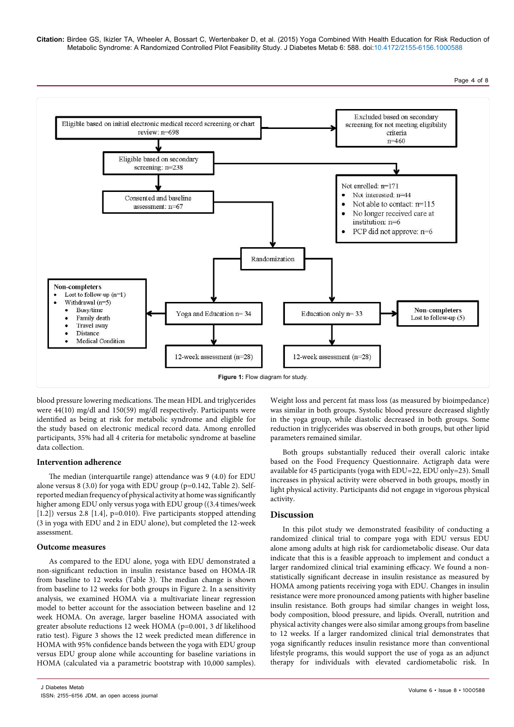Page 4 of 8



blood pressure lowering medications. The mean HDL and triglycerides were 44(10) mg/dl and 150(59) mg/dl respectively. Participants were identified as being at risk for metabolic syndrome and eligible for the study based on electronic medical record data. Among enrolled participants, 35% had all 4 criteria for metabolic syndrome at baseline data collection.

#### **Intervention adherence**

The median (interquartile range) attendance was 9 (4.0) for EDU alone versus 8 (3.0) for yoga with EDU group (p=0.142, Table 2). Selfreported median frequency of physical activity at home was significantly higher among EDU only versus yoga with EDU group ((3.4 times/week [1.2]) versus 2.8 [1.4], p=0.010). Five participants stopped attending (3 in yoga with EDU and 2 in EDU alone), but completed the 12-week assessment.

#### **Outcome measures**

As compared to the EDU alone, yoga with EDU demonstrated a non-significant reduction in insulin resistance based on HOMA-IR from baseline to 12 weeks (Table 3). The median change is shown from baseline to 12 weeks for both groups in Figure 2. In a sensitivity analysis, we examined HOMA via a multivariate linear regression model to better account for the association between baseline and 12 week HOMA. On average, larger baseline HOMA associated with greater absolute reductions 12 week HOMA (p=0.001, 3 df likelihood ratio test). Figure 3 shows the 12 week predicted mean difference in HOMA with 95% confidence bands between the yoga with EDU group versus EDU group alone while accounting for baseline variations in HOMA (calculated via a parametric bootstrap with 10,000 samples).

Weight loss and percent fat mass loss (as measured by bioimpedance) was similar in both groups. Systolic blood pressure decreased slightly in the yoga group, while diastolic decreased in both groups. Some reduction in triglycerides was observed in both groups, but other lipid parameters remained similar.

Both groups substantially reduced their overall caloric intake based on the Food Frequency Questionnaire. Actigraph data were available for 45 participants (yoga with EDU=22, EDU only=23). Small increases in physical activity were observed in both groups, mostly in light physical activity. Participants did not engage in vigorous physical activity.

## **Discussion**

In this pilot study we demonstrated feasibility of conducting a randomized clinical trial to compare yoga with EDU versus EDU alone among adults at high risk for cardiometabolic disease. Our data indicate that this is a feasible approach to implement and conduct a larger randomized clinical trial examining efficacy. We found a nonstatistically significant decrease in insulin resistance as measured by HOMA among patients receiving yoga with EDU. Changes in insulin resistance were more pronounced among patients with higher baseline insulin resistance. Both groups had similar changes in weight loss, body composition, blood pressure, and lipids. Overall, nutrition and physical activity changes were also similar among groups from baseline to 12 weeks. If a larger randomized clinical trial demonstrates that yoga significantly reduces insulin resistance more than conventional lifestyle programs, this would support the use of yoga as an adjunct therapy for individuals with elevated cardiometabolic risk. In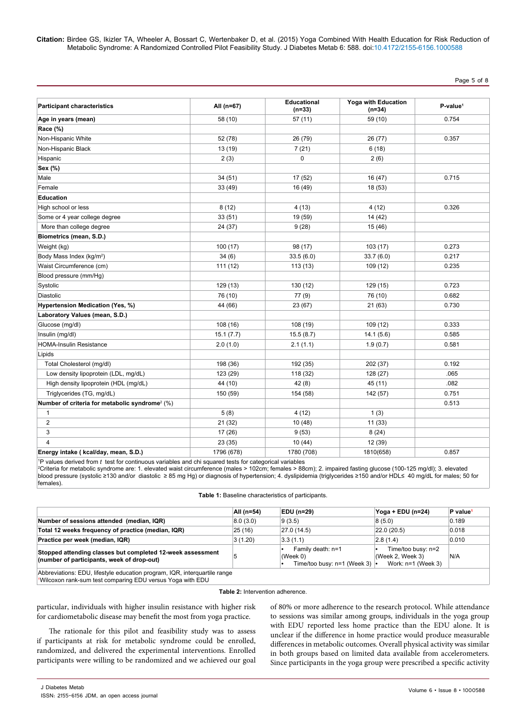Page 5 of 8

| <b>Participant characteristics</b>                         | All (n=67) | <b>Educational</b><br>$(n=33)$ | Yoga with Education<br>$(n=34)$ | P-value <sup>1</sup> |
|------------------------------------------------------------|------------|--------------------------------|---------------------------------|----------------------|
| Age in years (mean)                                        | 58 (10)    | 57(11)                         | 59 (10)                         | 0.754                |
| Race (%)                                                   |            |                                |                                 |                      |
| Non-Hispanic White                                         | 52 (78)    | 26 (79)                        | 26 (77)                         | 0.357                |
| Non-Hispanic Black                                         | 13 (19)    | 7(21)                          | 6(18)                           |                      |
| Hispanic                                                   | 2(3)       | 0                              | 2(6)                            |                      |
| Sex (%)                                                    |            |                                |                                 |                      |
| Male                                                       | 34(51)     | 17 (52)                        | 16 (47)                         | 0.715                |
| Female                                                     | 33 (49)    | 16 (49)                        | 18 (53)                         |                      |
| <b>Education</b>                                           |            |                                |                                 |                      |
| High school or less                                        | 8(12)      | 4(13)                          | 4 (12)                          | 0.326                |
| Some or 4 year college degree                              | 33(51)     | 19 (59)                        | 14(42)                          |                      |
| More than college degree                                   | 24 (37)    | 9(28)                          | 15(46)                          |                      |
| Biometrics (mean, S.D.)                                    |            |                                |                                 |                      |
| Weight (kg)                                                | 100(17)    | 98 (17)                        | 103(17)                         | 0.273                |
| Body Mass Index (kg/m <sup>2</sup> )                       | 34(6)      | 33.5(6.0)                      | 33.7(6.0)                       | 0.217                |
| Waist Circumference (cm)                                   | 111(12)    | 113(13)                        | 109 (12)                        | 0.235                |
| Blood pressure (mm/Hg)                                     |            |                                |                                 |                      |
| Systolic                                                   | 129 (13)   | 130 (12)                       | 129 (15)                        | 0.723                |
| Diastolic                                                  | 76 (10)    | 77(9)                          | 76 (10)                         | 0.682                |
| Hypertension Medication (Yes, %)                           | 44 (66)    | 23 (67)                        | 21 (63)                         | 0.730                |
| Laboratory Values (mean, S.D.)                             |            |                                |                                 |                      |
| Glucose (mg/dl)                                            | 108(16)    | 108 (19)                       | 109 (12)                        | 0.333                |
| Insulin (mg/dl)                                            | 15.1(7.7)  | 15.5(8.7)                      | 14.1(5.6)                       | 0.585                |
| <b>HOMA-Insulin Resistance</b>                             | 2.0(1.0)   | 2.1(1.1)                       | 1.9(0.7)                        | 0.581                |
| Lipids                                                     |            |                                |                                 |                      |
| Total Cholesterol (mg/dl)                                  | 198 (36)   | 192 (35)                       | 202 (37)                        | 0.192                |
| Low density lipoprotein (LDL, mg/dL)                       | 123 (29)   | 118 (32)                       | 128 (27)                        | .065                 |
| High density lipoprotein (HDL (mg/dL)                      | 44 (10)    | 42(8)                          | 45 (11)                         | .082                 |
| Triglycerides (TG, mg/dL)                                  | 150 (59)   | 154 (58)                       | 142 (57)                        | 0.751                |
| Number of criteria for metabolic syndrome <sup>2</sup> (%) |            |                                |                                 | 0.513                |
| 1                                                          | 5(8)       | 4(12)                          | 1(3)                            |                      |
| $\overline{2}$                                             | 21(32)     | 10(48)                         | 11(33)                          |                      |
| 3                                                          | 17 (26)    | 9(53)                          | 8(24)                           |                      |
| 4                                                          | 23(35)     | 10(44)                         | 12 (39)                         |                      |
| Energy intake ( kcal/day, mean, S.D.)                      | 1796 (678) | 1780 (708)                     | 1810(658)                       | 0.857                |

<sup>1</sup>P values derived from t test for continuous variables and chi squared tests for categorical variables 'P values derived from *t*test for continuous variables and chi squared tests for categorical variables<br><sup>2</sup>Criteria for metabolic syndrome are: 1. elevated waist circumference (males > 102cm; females > 88cm); 2. impaired f blood pressure (systolic ≥130 and/or diastolic ≥ 85 mg Hg) or diagnosis of hypertension; 4. dyslipidemia (triglycerides ≥150 and/or HDL≤ 40 mg/dL for males; 50 for females).

|                                                                                                          | All (n=54) | EDU (n=29)                                                             | Yoga + EDU (n=24)                                            | P value <sup>1</sup> |
|----------------------------------------------------------------------------------------------------------|------------|------------------------------------------------------------------------|--------------------------------------------------------------|----------------------|
| Number of sessions attended (median, IQR)                                                                | 8.0(3.0)   | 9(3.5)                                                                 | 8(5.0)                                                       | 0.189                |
| Total 12 weeks frequency of practice (median, IQR)                                                       | 25(16)     | 27.0 (14.5)                                                            | 22.0(20.5)                                                   | 0.018                |
| Practice per week (median, IQR)                                                                          | 3(1.20)    | 3.3(1.1)                                                               | 2.8(1.4)                                                     | 0.010                |
| Stopped attending classes but completed 12-week assessment<br>(number of participants, week of drop-out) |            | Family death: n=1<br>(Week 0)<br>Time/too busy: $n=1$ (Week 3) $\cdot$ | Time/too busy: n=2<br>(Week 2, Week 3)<br>Work: n=1 (Week 3) | N/A                  |

Abbreviations: EDU, lifestyle education program, IQR, interquartile range 1 Wilcoxon rank-sum test comparing EDU versus Yoga with EDU

#### **Table 2:** Intervention adherence.

particular, individuals with higher insulin resistance with higher risk for cardiometabolic disease may benefit the most from yoga practice.

The rationale for this pilot and feasibility study was to assess if participants at risk for metabolic syndrome could be enrolled, randomized, and delivered the experimental interventions. Enrolled participants were willing to be randomized and we achieved our goal of 80% or more adherence to the research protocol. While attendance to sessions was similar among groups, individuals in the yoga group with EDU reported less home practice than the EDU alone. It is unclear if the difference in home practice would produce measurable differences in metabolic outcomes. Overall physical activity was similar in both groups based on limited data available from accelerometers. Since participants in the yoga group were prescribed a specific activity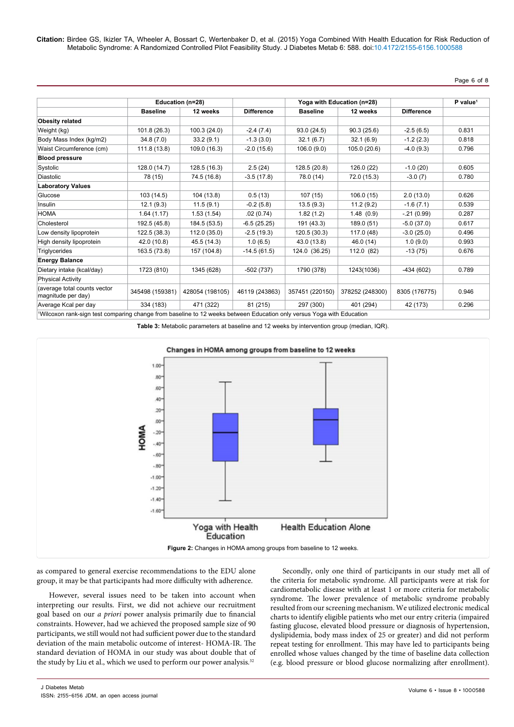Page 6 of 8

|                                                    |                 | Education (n=28) |                   | Yoga with Education (n=28) |                 |                   | P value <sup>1</sup> |
|----------------------------------------------------|-----------------|------------------|-------------------|----------------------------|-----------------|-------------------|----------------------|
|                                                    | <b>Baseline</b> | 12 weeks         | <b>Difference</b> | <b>Baseline</b>            | 12 weeks        | <b>Difference</b> |                      |
| <b>Obesity related</b>                             |                 |                  |                   |                            |                 |                   |                      |
| Weight (kg)                                        | 101.8 (26.3)    | 100.3(24.0)      | $-2.4(7.4)$       | 93.0(24.5)                 | 90.3(25.6)      | $-2.5(6.5)$       | 0.831                |
| Body Mass Index (kg/m2)                            | 34.8(7.0)       | 33.2(9.1)        | $-1.3(3.0)$       | 32.1(6.7)                  | 32.1(6.9)       | $-1.2(2.3)$       | 0.818                |
| Waist Circumference (cm)                           | 111.8 (13.8)    | 109.0 (16.3)     | $-2.0(15.6)$      | 106.0(9.0)                 | 105.0 (20.6)    | $-4.0(9.3)$       | 0.796                |
| <b>Blood pressure</b>                              |                 |                  |                   |                            |                 |                   |                      |
| Systolic                                           | 128.0 (14.7)    | 128.5 (16.3)     | 2.5(24)           | 128.5 (20.8)               | 126.0 (22)      | $-1.0(20)$        | 0.605                |
| <b>Diastolic</b>                                   | 78 (15)         | 74.5 (16.8)      | $-3.5(17.8)$      | 78.0 (14)                  | 72.0 (15.3)     | $-3.0(7)$         | 0.780                |
| <b>Laboratory Values</b>                           |                 |                  |                   |                            |                 |                   |                      |
| Glucose                                            | 103 (14.5)      | 104 (13.8)       | 0.5(13)           | 107(15)                    | 106.0(15)       | 2.0(13.0)         | 0.626                |
| Insulin                                            | 12.1(9.3)       | 11.5(9.1)        | $-0.2(5.8)$       | 13.5(9.3)                  | 11.2(9.2)       | $-1.6(7.1)$       | 0.539                |
| <b>HOMA</b>                                        | 1.64(1.17)      | 1.53(1.54)       | .02(0.74)         | 1.82(1.2)                  | 1.48(0.9)       | $-.21(0.99)$      | 0.287                |
| Cholesterol                                        | 192.5 (45.8)    | 184.5 (53.5)     | $-6.5(25.25)$     | 191 (43.3)                 | 189.0 (51)      | $-5.0(37.0)$      | 0.617                |
| Low density lipoprotein                            | 122.5 (38.3)    | 112.0 (35.0)     | $-2.5(19.3)$      | 120.5(30.3)                | 117.0 (48)      | $-3.0(25.0)$      | 0.496                |
| High density lipoprotein                           | 42.0 (10.8)     | 45.5 (14.3)      | 1.0(6.5)          | 43.0 (13.8)                | 46.0 (14)       | 1.0(9.0)          | 0.993                |
| Triglycerides                                      | 163.5 (73.8)    | 157 (104.8)      | $-14.5(61.5)$     | 124.0 (36.25)              | 112.0 (82)      | $-13(75)$         | 0.676                |
| <b>Energy Balance</b>                              |                 |                  |                   |                            |                 |                   |                      |
| Dietary intake (kcal/day)                          | 1723 (810)      | 1345 (628)       | $-502(737)$       | 1790 (378)                 | 1243(1036)      | $-434(602)$       | 0.789                |
| <b>Physical Activity</b>                           |                 |                  |                   |                            |                 |                   |                      |
| (average total counts vector<br>magnitude per day) | 345498 (159381) | 428054 (198105)  | 46119 (243863)    | 357451 (220150)            | 378252 (248300) | 8305 (176775)     | 0.946                |
| Average Kcal per day                               | 334 (183)       | 471 (322)        | 81 (215)          | 297 (300)                  | 401 (294)       | 42 (173)          | 0.296                |

**Table 3:** Metabolic parameters at baseline and 12 weeks by intervention group (median, IQR).



as compared to general exercise recommendations to the EDU alone group, it may be that participants had more difficulty with adherence.

However, several issues need to be taken into account when interpreting our results. First, we did not achieve our recruitment goal based on our *a priori* power analysis primarily due to financial constraints. However, had we achieved the proposed sample size of 90 participants, we still would not had sufficient power due to the standard deviation of the main metabolic outcome of interest- HOMA-IR. The standard deviation of HOMA in our study was about double that of the study by Liu et al., which we used to perform our power analysis.<sup>32</sup>

Secondly, only one third of participants in our study met all of the criteria for metabolic syndrome. All participants were at risk for cardiometabolic disease with at least 1 or more criteria for metabolic syndrome. The lower prevalence of metabolic syndrome probably resulted from our screening mechanism. We utilized electronic medical charts to identify eligible patients who met our entry criteria (impaired fasting glucose, elevated blood pressure or diagnosis of hypertension, dyslipidemia, body mass index of 25 or greater) and did not perform repeat testing for enrollment. This may have led to participants being enrolled whose values changed by the time of baseline data collection (e.g. blood pressure or blood glucose normalizing after enrollment).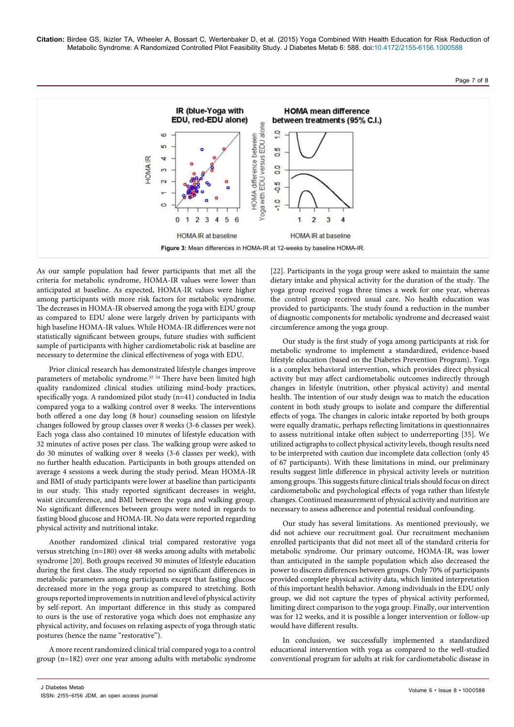Page 7 of 8



As our sample population had fewer participants that met all the criteria for metabolic syndrome, HOMA-IR values were lower than anticipated at baseline. As expected, HOMA-IR values were higher among participants with more risk factors for metabolic syndrome. The decreases in HOMA-IR observed among the yoga with EDU group as compared to EDU alone were largely driven by participants with high baseline HOMA-IR values. While HOMA-IR differences were not statistically significant between groups, future studies with sufficient sample of participants with higher cardiometabolic risk at baseline are necessary to determine the clinical effectiveness of yoga with EDU.

Prior clinical research has demonstrated lifestyle changes improve parameters of metabolic syndrome.<sup>33</sup> <sup>34</sup> There have been limited high quality randomized clinical studies utilizing mind-body practices, specifically yoga. A randomized pilot study (n=41) conducted in India compared yoga to a walking control over 8 weeks. The interventions both offered a one day long (8 hour) counseling session on lifestyle changes followed by group classes over 8 weeks (3-6 classes per week). Each yoga class also contained 10 minutes of lifestyle education with 32 minutes of active poses per class. The walking group were asked to do 30 minutes of walking over 8 weeks (3-6 classes per week), with no further health education. Participants in both groups attended on average 4 sessions a week during the study period. Mean HOMA-IR and BMI of study participants were lower at baseline than participants in our study. This study reported significant decreases in weight, waist circumference, and BMI between the yoga and walking group. No significant differences between groups were noted in regards to fasting blood glucose and HOMA-IR. No data were reported regarding physical activity and nutritional intake.

Another randomized clinical trial compared restorative yoga versus stretching (n=180) over 48 weeks among adults with metabolic syndrome [20]. Both groups received 30 minutes of lifestyle education during the first class. The study reported no significant differences in metabolic parameters among participants except that fasting glucose decreased more in the yoga group as compared to stretching. Both groups reported improvements in nutrition and level of physical activity by self-report. An important difference in this study as compared to ours is the use of restorative yoga which does not emphasize any physical activity, and focuses on relaxing aspects of yoga through static postures (hence the name "restorative").

A more recent randomized clinical trial compared yoga to a control group (n=182) over one year among adults with metabolic syndrome

[22]. Participants in the yoga group were asked to maintain the same dietary intake and physical activity for the duration of the study. The yoga group received yoga three times a week for one year, whereas the control group received usual care. No health education was provided to participants. The study found a reduction in the number of diagnostic components for metabolic syndrome and decreased waist circumference among the yoga group.

Our study is the first study of yoga among participants at risk for metabolic syndrome to implement a standardized, evidence-based lifestyle education (based on the Diabetes Prevention Program). Yoga is a complex behavioral intervention, which provides direct physical activity but may affect cardiometabolic outcomes indirectly through changes in lifestyle (nutrition, other physical activity) and mental health. The intention of our study design was to match the education content in both study groups to isolate and compare the differential effects of yoga. The changes in caloric intake reported by both groups were equally dramatic, perhaps reflecting limitations in questionnaires to assess nutritional intake often subject to underreporting [35]. We utilized actigraphs to collect physical activity levels, though results need to be interpreted with caution due incomplete data collection (only 45 of 67 participants). With these limitations in mind, our preliminary results suggest little difference in physical activity levels or nutrition among groups. This suggests future clinical trials should focus on direct cardiometabolic and psychological effects of yoga rather than lifestyle changes. Continued measurement of physical activity and nutrition are necessary to assess adherence and potential residual confounding.

Our study has several limitations. As mentioned previously, we did not achieve our recruitment goal. Our recruitment mechanism enrolled participants that did not meet all of the standard criteria for metabolic syndrome. Our primary outcome, HOMA-IR, was lower than anticipated in the sample population which also decreased the power to discern differences between groups. Only 70% of participants provided complete physical activity data, which limited interpretation of this important health behavior. Among individuals in the EDU only group, we did not capture the types of physical activity performed, limiting direct comparison to the yoga group. Finally, our intervention was for 12 weeks, and it is possible a longer intervention or follow-up would have different results.

In conclusion, we successfully implemented a standardized educational intervention with yoga as compared to the well-studied conventional program for adults at risk for cardiometabolic disease in